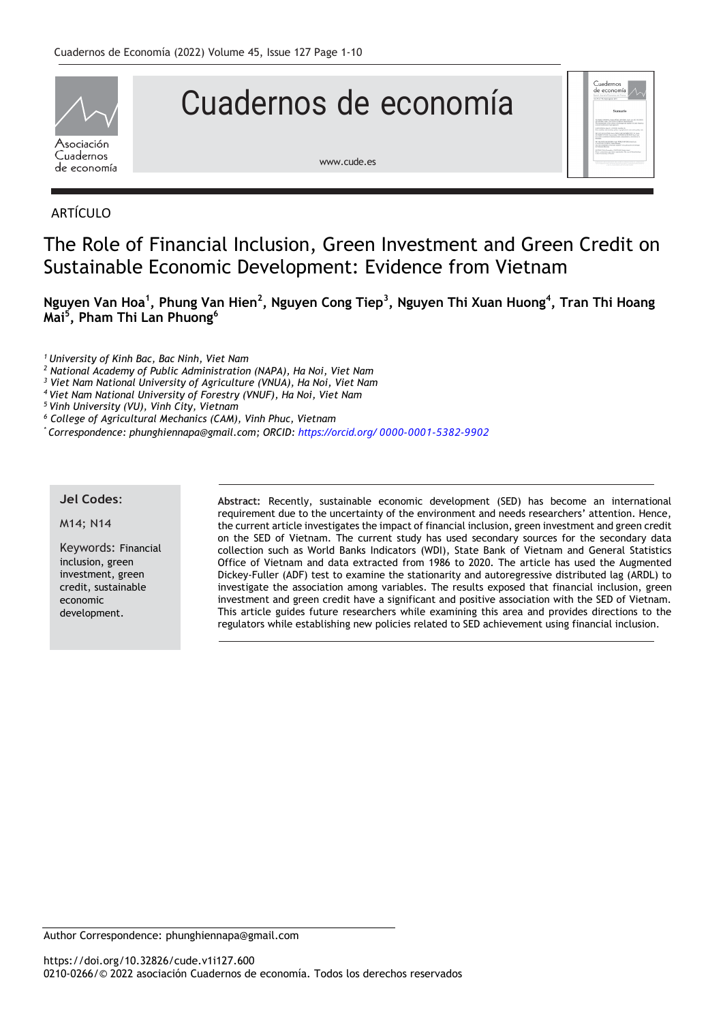

# Cuadernos de economía



[www.cude.es](http://www.cude.es/)

# ARTÍCULO

# The Role of Financial Inclusion, Green Investment and Green Credit on Sustainable Economic Development: Evidence from Vietnam

**Nguyen Van Hoa<sup>1</sup> , Phung Van Hien<sup>2</sup> , Nguyen Cong Tiep<sup>3</sup> , Nguyen Thi Xuan Huong<sup>4</sup> , Tran Thi Hoang Mai<sup>5</sup> , Pham Thi Lan Phuong<sup>6</sup>**

*<sup>1</sup> University of Kinh Bac, Bac Ninh, Viet Nam*

*<sup>2</sup> National Academy of Public Administration (NAPA), Ha Noi, Viet Nam*

*<sup>3</sup> Viet Nam National University of Agriculture (VNUA), Ha Noi, Viet Nam*

*<sup>4</sup> Viet Nam National University of Forestry (VNUF), Ha Noi, Viet Nam*

*<sup>5</sup> Vinh University (VU), Vinh City, Vietnam*

*<sup>6</sup> College of Agricultural Mechanics (CAM), Vinh Phuc, Vietnam*

*\* Correspondence: phunghiennapa@gmail.com; ORCID: https://orcid.org/ 0000-0001-5382-9902*

#### **Jel Codes**:

M14; N14

Keywords: Financial inclusion, green investment, green credit, sustainable economic development.

**Abstract:** Recently, sustainable economic development (SED) has become an international requirement due to the uncertainty of the environment and needs researchers' attention. Hence, the current article investigates the impact of financial inclusion, green investment and green credit on the SED of Vietnam. The current study has used secondary sources for the secondary data collection such as World Banks Indicators (WDI), State Bank of Vietnam and General Statistics Office of Vietnam and data extracted from 1986 to 2020. The article has used the Augmented Dickey-Fuller (ADF) test to examine the stationarity and autoregressive distributed lag (ARDL) to investigate the association among variables. The results exposed that financial inclusion, green investment and green credit have a significant and positive association with the SED of Vietnam. This article guides future researchers while examining this area and provides directions to the regulators while establishing new policies related to SED achievement using financial inclusion.

Author Correspondence: phunghiennapa@gmail.com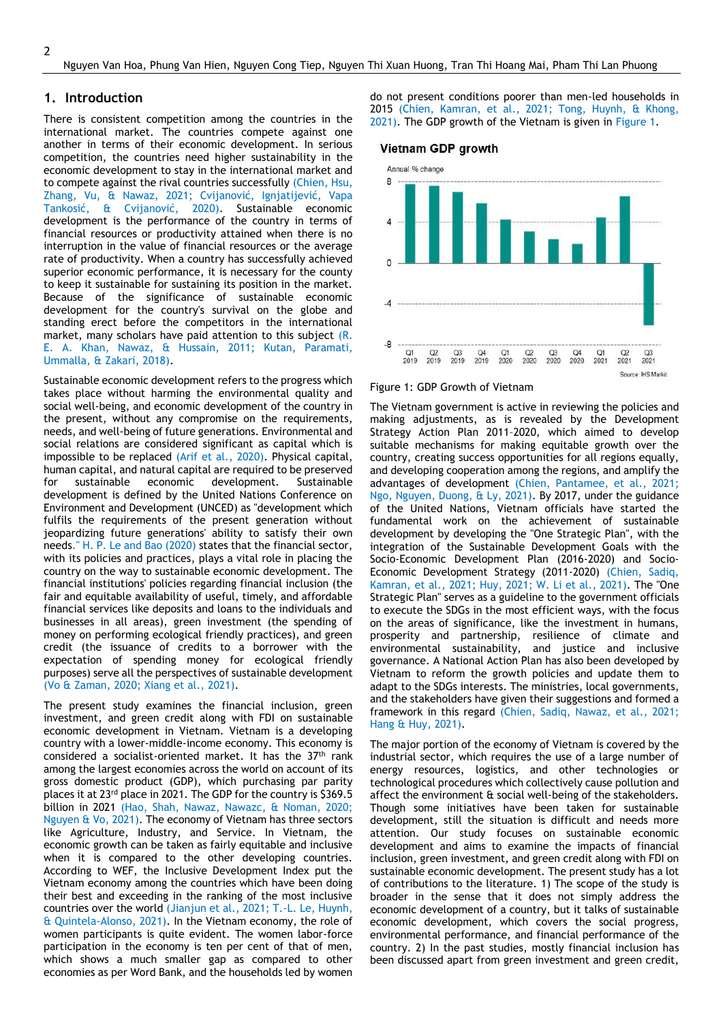#### **1. Introduction**

There is consistent competition among the countries in the international market. The countries compete against one another in terms of their economic development. In serious competition, the countries need higher sustainability in the economic development to stay in the international market and to compete against the rival countries successfully (Chien, Hsu, Zhang, Vu, & Nawaz, 2021; Cvijanović, Ignjatijević, Vapa Tankosić, & Cvijanović, 2020). Sustainable economic development is the performance of the country in terms of financial resources or productivity attained when there is no interruption in the value of financial resources or the average rate of productivity. When a country has successfully achieved superior economic performance, it is necessary for the county to keep it sustainable for sustaining its position in the market. Because of the significance of sustainable economic development for the country's survival on the globe and standing erect before the competitors in the international market, many scholars have paid attention to this subject (R. E. A. Khan, Nawaz, & Hussain, 2011; Kutan, Paramati, Ummalla, & Zakari, 2018).

Sustainable economic development refers to the progress which takes place without harming the environmental quality and social well-being, and economic development of the country in the present, without any compromise on the requirements, needs, and well-being of future generations. Environmental and social relations are considered significant as capital which is impossible to be replaced (Arif et al., 2020). Physical capital, human capital, and natural capital are required to be preserved for sustainable economic development. Sustainable development is defined by the United Nations Conference on Environment and Development (UNCED) as "development which fulfils the requirements of the present generation without jeopardizing future generations' ability to satisfy their own needs." H. P. Le and Bao (2020) states that the financial sector, with its policies and practices, plays a vital role in placing the country on the way to sustainable economic development. The financial institutions' policies regarding financial inclusion (the fair and equitable availability of useful, timely, and affordable financial services like deposits and loans to the individuals and businesses in all areas), green investment (the spending of money on performing ecological friendly practices), and green credit (the issuance of credits to a borrower with the expectation of spending money for ecological friendly purposes) serve all the perspectives of sustainable development (Vo & Zaman, 2020; Xiang et al., 2021).

The present study examines the financial inclusion, green investment, and green credit along with FDI on sustainable economic development in Vietnam. Vietnam is a developing country with a lower-middle-income economy. This economy is considered a socialist-oriented market. It has the  $37<sup>th</sup>$  rank among the largest economies across the world on account of its gross domestic product (GDP), which purchasing par parity places it at 23rd place in 2021. The GDP for the country is \$369.5 billion in 2021 (Hao, Shah, Nawaz, Nawazc, & Noman, 2020; Nguyen & Vo, 2021). The economy of Vietnam has three sectors like Agriculture, Industry, and Service. In Vietnam, the economic growth can be taken as fairly equitable and inclusive when it is compared to the other developing countries. According to WEF, the Inclusive Development Index put the Vietnam economy among the countries which have been doing their best and exceeding in the ranking of the most inclusive countries over the world (Jianjun et al., 2021; T.-L. Le, Huynh, & Quintela-Alonso, 2021). In the Vietnam economy, the role of women participants is quite evident. The women labor-force participation in the economy is ten per cent of that of men, which shows a much smaller gap as compared to other economies as per Word Bank, and the households led by women

do not present conditions poorer than men-led households in 2015 (Chien, Kamran, et al., 2021; Tong, Huynh, & Khong, 2021). The GDP growth of the Vietnam is given in Figure 1.

#### Vietnam GDP growth



#### Figure 1: GDP Growth of Vietnam

The Vietnam government is active in reviewing the policies and making adjustments, as is revealed by the Development Strategy Action Plan 2011–2020, which aimed to develop suitable mechanisms for making equitable growth over the country, creating success opportunities for all regions equally, and developing cooperation among the regions, and amplify the advantages of development (Chien, Pantamee, et al., 2021; Ngo, Nguyen, Duong, & Ly, 2021). By 2017, under the guidance of the United Nations, Vietnam officials have started the fundamental work on the achievement of sustainable development by developing the "One Strategic Plan", with the integration of the Sustainable Development Goals with the Socio-Economic Development Plan (2016-2020) and Socio-Economic Development Strategy (2011-2020) (Chien, Sadiq, Kamran, et al., 2021; Huy, 2021; W. Li et al., 2021). The "One Strategic Plan" serves as a guideline to the government officials to execute the SDGs in the most efficient ways, with the focus on the areas of significance, like the investment in humans, prosperity and partnership, resilience of climate and environmental sustainability, and justice and inclusive governance. A National Action Plan has also been developed by Vietnam to reform the growth policies and update them to adapt to the SDGs interests. The ministries, local governments, and the stakeholders have given their suggestions and formed a framework in this regard (Chien, Sadiq, Nawaz, et al., 2021; Hang & Huy, 2021).

The major portion of the economy of Vietnam is covered by the industrial sector, which requires the use of a large number of energy resources, logistics, and other technologies or technological procedures which collectively cause pollution and affect the environment & social well-being of the stakeholders. Though some initiatives have been taken for sustainable development, still the situation is difficult and needs more attention. Our study focuses on sustainable economic development and aims to examine the impacts of financial inclusion, green investment, and green credit along with FDI on sustainable economic development. The present study has a lot of contributions to the literature. 1) The scope of the study is broader in the sense that it does not simply address the economic development of a country, but it talks of sustainable economic development, which covers the social progress, environmental performance, and financial performance of the country. 2) In the past studies, mostly financial inclusion has been discussed apart from green investment and green credit,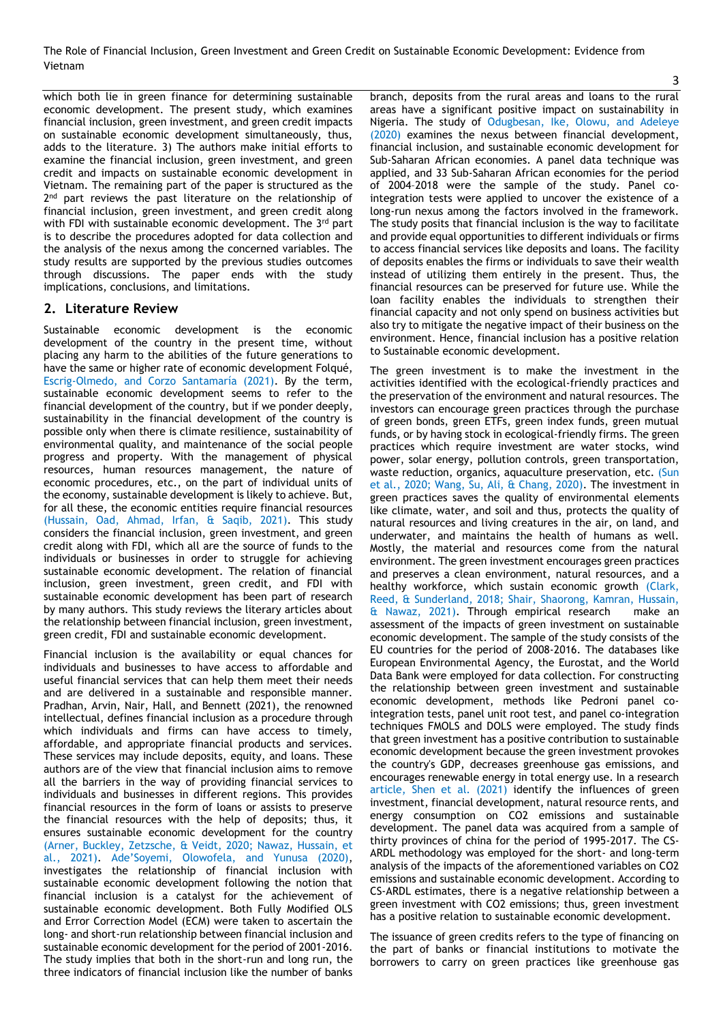which both lie in green finance for determining sustainable economic development. The present study, which examines financial inclusion, green investment, and green credit impacts on sustainable economic development simultaneously, thus, adds to the literature. 3) The authors make initial efforts to examine the financial inclusion, green investment, and green credit and impacts on sustainable economic development in Vietnam. The remaining part of the paper is structured as the 2<sup>nd</sup> part reviews the past literature on the relationship of financial inclusion, green investment, and green credit along with FDI with sustainable economic development. The 3<sup>rd</sup> part is to describe the procedures adopted for data collection and the analysis of the nexus among the concerned variables. The study results are supported by the previous studies outcomes through discussions. The paper ends with the study implications, conclusions, and limitations.

### **2. Literature Review**

Sustainable economic development is the economic development of the country in the present time, without placing any harm to the abilities of the future generations to have the same or higher rate of economic development Folqué, Escrig‐Olmedo, and Corzo Santamaría (2021). By the term, sustainable economic development seems to refer to the financial development of the country, but if we ponder deeply, sustainability in the financial development of the country is possible only when there is climate resilience, sustainability of environmental quality, and maintenance of the social people progress and property. With the management of physical resources, human resources management, the nature of economic procedures, etc., on the part of individual units of the economy, sustainable development is likely to achieve. But, for all these, the economic entities require financial resources (Hussain, Oad, Ahmad, Irfan, & Saqib, 2021). This study considers the financial inclusion, green investment, and green credit along with FDI, which all are the source of funds to the individuals or businesses in order to struggle for achieving sustainable economic development. The relation of financial inclusion, green investment, green credit, and FDI with sustainable economic development has been part of research by many authors. This study reviews the literary articles about the relationship between financial inclusion, green investment, green credit, FDI and sustainable economic development.

Financial inclusion is the availability or equal chances for individuals and businesses to have access to affordable and useful financial services that can help them meet their needs and are delivered in a sustainable and responsible manner. Pradhan, Arvin, Nair, Hall, and Bennett (2021), the renowned intellectual, defines financial inclusion as a procedure through which individuals and firms can have access to timely, affordable, and appropriate financial products and services. These services may include deposits, equity, and loans. These authors are of the view that financial inclusion aims to remove all the barriers in the way of providing financial services to individuals and businesses in different regions. This provides financial resources in the form of loans or assists to preserve the financial resources with the help of deposits; thus, it ensures sustainable economic development for the country (Arner, Buckley, Zetzsche, & Veidt, 2020; Nawaz, Hussain, et al., 2021). Ade'Soyemi, Olowofela, and Yunusa (2020), investigates the relationship of financial inclusion with sustainable economic development following the notion that financial inclusion is a catalyst for the achievement of sustainable economic development. Both Fully Modified OLS and Error Correction Model (ECM) were taken to ascertain the long- and short-run relationship between financial inclusion and sustainable economic development for the period of 2001-2016. The study implies that both in the short-run and long run, the three indicators of financial inclusion like the number of banks

branch, deposits from the rural areas and loans to the rural areas have a significant positive impact on sustainability in Nigeria. The study of Odugbesan, Ike, Olowu, and Adeleye (2020) examines the nexus between financial development, financial inclusion, and sustainable economic development for Sub-Saharan African economies. A panel data technique was applied, and 33 Sub-Saharan African economies for the period of 2004–2018 were the sample of the study. Panel cointegration tests were applied to uncover the existence of a long-run nexus among the factors involved in the framework. The study posits that financial inclusion is the way to facilitate and provide equal opportunities to different individuals or firms to access financial services like deposits and loans. The facility of deposits enables the firms or individuals to save their wealth instead of utilizing them entirely in the present. Thus, the financial resources can be preserved for future use. While the loan facility enables the individuals to strengthen their financial capacity and not only spend on business activities but also try to mitigate the negative impact of their business on the environment. Hence, financial inclusion has a positive relation to Sustainable economic development.

The green investment is to make the investment in the activities identified with the ecological-friendly practices and the preservation of the environment and natural resources. The investors can encourage green practices through the purchase of green bonds, green ETFs, green index funds, green mutual funds, or by having stock in ecological-friendly firms. The green practices which require investment are water stocks, wind power, solar energy, pollution controls, green transportation, waste reduction, organics, aquaculture preservation, etc. (Sun et al., 2020; Wang, Su, Ali, & Chang, 2020). The investment in green practices saves the quality of environmental elements like climate, water, and soil and thus, protects the quality of natural resources and living creatures in the air, on land, and underwater, and maintains the health of humans as well. Mostly, the material and resources come from the natural environment. The green investment encourages green practices and preserves a clean environment, natural resources, and a healthy workforce, which sustain economic growth (Clark, Reed, & Sunderland, 2018; Shair, Shaorong, Kamran, Hussain, & Nawaz, 2021). Through empirical research make an assessment of the impacts of green investment on sustainable economic development. The sample of the study consists of the EU countries for the period of 2008-2016. The databases like European Environmental Agency, the Eurostat, and the World Data Bank were employed for data collection. For constructing the relationship between green investment and sustainable economic development, methods like Pedroni panel cointegration tests, panel unit root test, and panel co-integration techniques FMOLS and DOLS were employed. The study finds that green investment has a positive contribution to sustainable economic development because the green investment provokes the country's GDP, decreases greenhouse gas emissions, and encourages renewable energy in total energy use. In a research article, Shen et al. (2021) identify the influences of green investment, financial development, natural resource rents, and energy consumption on CO2 emissions and sustainable development. The panel data was acquired from a sample of thirty provinces of china for the period of 1995-2017. The CS-ARDL methodology was employed for the short- and long-term analysis of the impacts of the aforementioned variables on CO2 emissions and sustainable economic development. According to CS-ARDL estimates, there is a negative relationship between a green investment with CO2 emissions; thus, green investment has a positive relation to sustainable economic development.

The issuance of green credits refers to the type of financing on the part of banks or financial institutions to motivate the borrowers to carry on green practices like greenhouse gas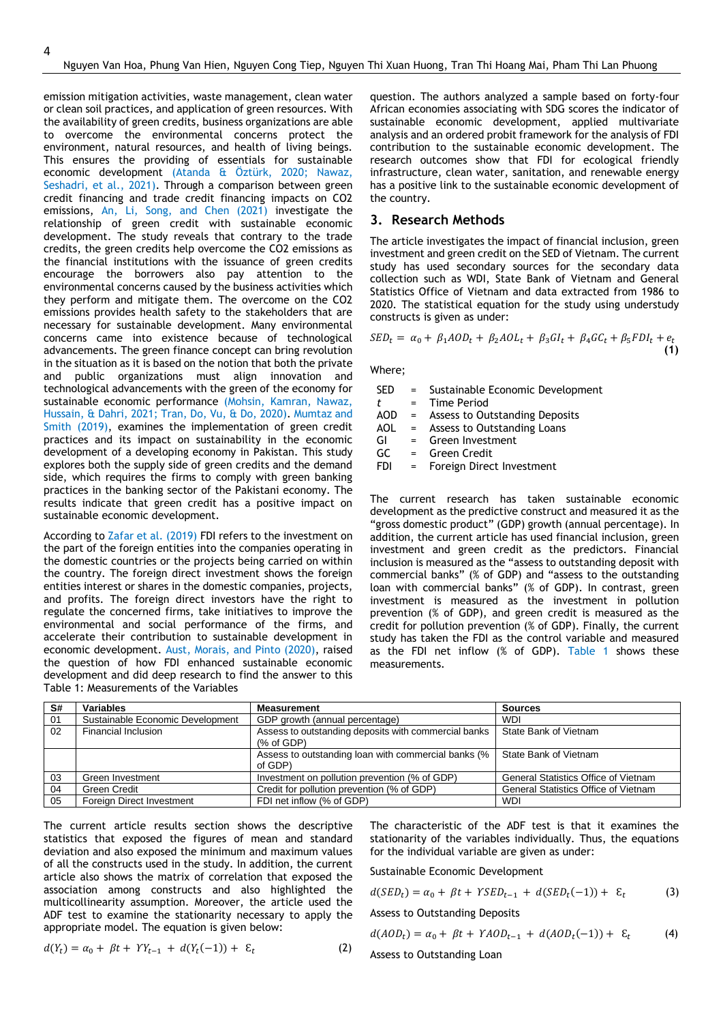emission mitigation activities, waste management, clean water or clean soil practices, and application of green resources. With the availability of green credits, business organizations are able to overcome the environmental concerns protect the environment, natural resources, and health of living beings. This ensures the providing of essentials for sustainable economic development (Atanda & Öztürk, 2020; Nawaz, Seshadri, et al., 2021). Through a comparison between green credit financing and trade credit financing impacts on CO2 emissions, An, Li, Song, and Chen (2021) investigate the relationship of green credit with sustainable economic development. The study reveals that contrary to the trade credits, the green credits help overcome the CO2 emissions as the financial institutions with the issuance of green credits encourage the borrowers also pay attention to the environmental concerns caused by the business activities which they perform and mitigate them. The overcome on the CO2 emissions provides health safety to the stakeholders that are necessary for sustainable development. Many environmental concerns came into existence because of technological advancements. The green finance concept can bring revolution in the situation as it is based on the notion that both the private and public organizations must align innovation and technological advancements with the green of the economy for sustainable economic performance (Mohsin, Kamran, Nawaz, Hussain, & Dahri, 2021; Tran, Do, Vu, & Do, 2020). Mumtaz and Smith (2019), examines the implementation of green credit practices and its impact on sustainability in the economic development of a developing economy in Pakistan. This study explores both the supply side of green credits and the demand side, which requires the firms to comply with green banking practices in the banking sector of the Pakistani economy. The results indicate that green credit has a positive impact on sustainable economic development.

According to Zafar et al. (2019) FDI refers to the investment on the part of the foreign entities into the companies operating in the domestic countries or the projects being carried on within the country. The foreign direct investment shows the foreign entities interest or shares in the domestic companies, projects, and profits. The foreign direct investors have the right to regulate the concerned firms, take initiatives to improve the environmental and social performance of the firms, and accelerate their contribution to sustainable development in economic development. Aust, Morais, and Pinto (2020), raised the question of how FDI enhanced sustainable economic development and did deep research to find the answer to this Table 1: Measurements of the Variables

question. The authors analyzed a sample based on forty-four African economies associating with SDG scores the indicator of sustainable economic development, applied multivariate analysis and an ordered probit framework for the analysis of FDI contribution to the sustainable economic development. The research outcomes show that FDI for ecological friendly infrastructure, clean water, sanitation, and renewable energy has a positive link to the sustainable economic development of the country.

#### **3. Research Methods**

The article investigates the impact of financial inclusion, green investment and green credit on the SED of Vietnam. The current study has used secondary sources for the secondary data collection such as WDI, State Bank of Vietnam and General Statistics Office of Vietnam and data extracted from 1986 to 2020. The statistical equation for the study using understudy constructs is given as under:

$$
SED_t = \alpha_0 + \beta_1 AOD_t + \beta_2 AOL_t + \beta_3 GI_t + \beta_4 GC_t + \beta_5 FDI_t + e_t
$$
<sup>(1)</sup>

Where;

- SED = Sustainable Economic Development
- *t* = Time Period
- AOD = Assess to Outstanding Deposits
- AOL = Assess to Outstanding Loans
- GI = Green Investment
- $GC = Green Credit$ <br> $FDI = Forreion Dirac$
- FDI = Foreign Direct Investment

The current research has taken sustainable economic development as the predictive construct and measured it as the "gross domestic product" (GDP) growth (annual percentage). In addition, the current article has used financial inclusion, green investment and green credit as the predictors. Financial inclusion is measured as the "assess to outstanding deposit with commercial banks" (% of GDP) and "assess to the outstanding loan with commercial banks" (% of GDP). In contrast, green investment is measured as the investment in pollution prevention (% of GDP), and green credit is measured as the credit for pollution prevention (% of GDP). Finally, the current study has taken the FDI as the control variable and measured as the FDI net inflow (% of GDP). Table 1 shows these measurements.

| S# | <b>Variables</b>                 | <b>Measurement</b>                                                 | <b>Sources</b>                              |
|----|----------------------------------|--------------------------------------------------------------------|---------------------------------------------|
| 01 | Sustainable Economic Development | GDP growth (annual percentage)                                     | <b>WDI</b>                                  |
| 02 | Financial Inclusion              | Assess to outstanding deposits with commercial banks<br>(% of GDP) | State Bank of Vietnam                       |
|    |                                  | Assess to outstanding loan with commercial banks (%<br>of GDP)     | State Bank of Vietnam                       |
| 03 | Green Investment                 | Investment on pollution prevention (% of GDP)                      | <b>General Statistics Office of Vietnam</b> |
| 04 | Green Credit                     | Credit for pollution prevention (% of GDP)                         | <b>General Statistics Office of Vietnam</b> |
| 05 | Foreign Direct Investment        | FDI net inflow (% of GDP)                                          | <b>WDI</b>                                  |

The current article results section shows the descriptive statistics that exposed the figures of mean and standard deviation and also exposed the minimum and maximum values of all the constructs used in the study. In addition, the current article also shows the matrix of correlation that exposed the association among constructs and also highlighted the multicollinearity assumption. Moreover, the article used the ADF test to examine the stationarity necessary to apply the appropriate model. The equation is given below:

$$
d(Y_t) = \alpha_0 + \beta t + YY_{t-1} + d(Y_t(-1)) + \varepsilon_t \tag{2}
$$

The characteristic of the ADF test is that it examines the stationarity of the variables individually. Thus, the equations for the individual variable are given as under:

Sustainable Economic Development

$$
d(SEDt) = \alpha_0 + \beta t + YSEDt-1 + d(SEDt(-1)) + \varepsilon_t
$$
 (3)

Assess to Outstanding Deposits

$$
d(AODt) = \alpha_0 + \beta t + YAODt-1 + d(AODt(-1)) + \varepsilon_t
$$
 (4)

Assess to Outstanding Loan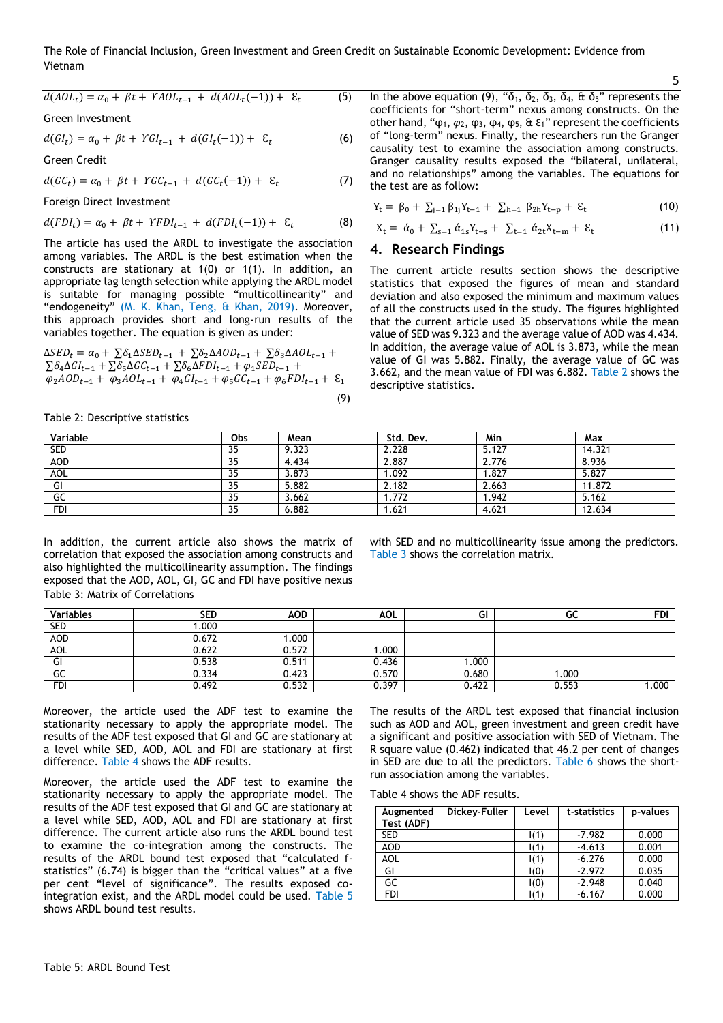The Role of Financial Inclusion, Green Investment and Green Credit on Sustainable Economic Development: Evidence from Vietnam

$$
d(AOL_t) = \alpha_0 + \beta t + YAOL_{t-1} + d(AOL_t(-1)) + \varepsilon_t \tag{5}
$$

Green Investment

$$
d(GI_t) = \alpha_0 + \beta t + YGI_{t-1} + d(GI_t(-1)) + \varepsilon_t
$$
 (6)

Green Credit

$$
d(GC_t) = \alpha_0 + \beta t + YGC_{t-1} + d(GC_t(-1)) + \varepsilon_t \tag{7}
$$

Foreign Direct Investment

$$
d(FDI_t) = \alpha_0 + \beta t + YFDI_{t-1} + d(FDI_t(-1)) + \varepsilon_t
$$
 (8)

The article has used the ARDL to investigate the association among variables. The ARDL is the best estimation when the constructs are stationary at 1(0) or 1(1). In addition, an appropriate lag length selection while applying the ARDL model is suitable for managing possible "multicollinearity" and "endogeneity" (M. K. Khan, Teng, & Khan, 2019). Moreover, this approach provides short and long-run results of the variables together. The equation is given as under:

$$
\Delta SED_{t} = \alpha_{0} + \sum \delta_{1} \Delta SED_{t-1} + \sum \delta_{2} \Delta AOD_{t-1} + \sum \delta_{3} \Delta AOD_{t-1} + \n\sum \delta_{4} \Delta GI_{t-1} + \sum \delta_{5} \Delta GC_{t-1} + \sum \delta_{6} \Delta FDI_{t-1} + \varphi_{1} SED_{t-1} + \n\varphi_{2} AOD_{t-1} + \varphi_{3} AOL_{t-1} + \varphi_{4} GI_{t-1} + \varphi_{5} GC_{t-1} + \varphi_{6} FDI_{t-1} + \mathcal{E}_{1}
$$
\n(9)

Table 2: Descriptive statistics

In the above equation (9), " $δ_1$ ,  $δ_2$ ,  $δ_3$ ,  $δ_4$ ,  $α$   $δ_5$ " represents the coefficients for "short-term" nexus among constructs. On the other hand, " $φ_1$ ,  $φ_2$ ,  $φ_3$ ,  $φ_4$ ,  $φ_5$ ,  $\&$   $ε_1$ " represent the coefficients of "long-term" nexus. Finally, the researchers run the Granger causality test to examine the association among constructs. Granger causality results exposed the "bilateral, unilateral, and no relationships" among the variables. The equations for the test are as follow:

5

$$
Y_t = \beta_0 + \sum_{j=1} \beta_{1j} Y_{t-1} + \sum_{h=1} \beta_{2h} Y_{t-p} + \epsilon_t
$$
 (10)

$$
X_{t} = \dot{\alpha}_{0} + \sum_{s=1} \dot{\alpha}_{1s} Y_{t-s} + \sum_{t=1} \dot{\alpha}_{2t} X_{t-m} + \varepsilon_{t}
$$
 (11)

#### **4. Research Findings**

The current article results section shows the descriptive statistics that exposed the figures of mean and standard deviation and also exposed the minimum and maximum values of all the constructs used in the study. The figures highlighted that the current article used 35 observations while the mean value of SED was 9.323 and the average value of AOD was 4.434. In addition, the average value of AOL is 3.873, while the mean value of GI was 5.882. Finally, the average value of GC was 3.662, and the mean value of FDI was 6.882. Table 2 shows the descriptive statistics.

| Variable   | Obs | Mean  | Std. Dev. | Min   | Max    |
|------------|-----|-------|-----------|-------|--------|
| <b>SED</b> | 35  | 9.323 | 2.228     | 5.127 | 14.321 |
| <b>AOD</b> | 35  | 4.434 | 2.887     | 2.776 | 8.936  |
| AOL        | 35  | 3.873 | 1.092     | 1.827 | 5.827  |
| GI         | 35  | 5.882 | 2.182     | 2.663 | 11.872 |
| GC         | 35  | 3.662 | 1.772     | 1.942 | 5.162  |
| FDI        | 35  | 6.882 | .621      | 4.621 | 12.634 |

In addition, the current article also shows the matrix of correlation that exposed the association among constructs and also highlighted the multicollinearity assumption. The findings exposed that the AOD, AOL, GI, GC and FDI have positive nexus Table 3: Matrix of Correlations

with SED and no multicollinearity issue among the predictors. Table 3 shows the correlation matrix.

| Variables  | <b>SED</b> | <b>AOD</b> | <b>AOL</b> | GI    | GC    | <b>FDI</b> |
|------------|------------|------------|------------|-------|-------|------------|
| <b>SED</b> | 000.       |            |            |       |       |            |
| <b>AOD</b> | 0.672      | .000       |            |       |       |            |
| AOL        | 0.622      | 0.572      | 1.000      |       |       |            |
| GI         | 0.538      | 0.511      | 0.436      | 000.1 |       |            |
| GC         | 0.334      | 0.423      | 0.570      | 0.680 | 000.1 |            |
| <b>FDI</b> | 0.492      | 0.532      | 0.397      | 0.422 | 0.553 | 1.000      |

Moreover, the article used the ADF test to examine the stationarity necessary to apply the appropriate model. The results of the ADF test exposed that GI and GC are stationary at a level while SED, AOD, AOL and FDI are stationary at first difference. Table 4 shows the ADF results.

Moreover, the article used the ADF test to examine the stationarity necessary to apply the appropriate model. The results of the ADF test exposed that GI and GC are stationary at a level while SED, AOD, AOL and FDI are stationary at first difference. The current article also runs the ARDL bound test to examine the co-integration among the constructs. The results of the ARDL bound test exposed that "calculated fstatistics" (6.74) is bigger than the "critical values" at a five per cent "level of significance". The results exposed cointegration exist, and the ARDL model could be used. Table 5 shows ARDL bound test results.

The results of the ARDL test exposed that financial inclusion such as AOD and AOL, green investment and green credit have a significant and positive association with SED of Vietnam. The R square value (0.462) indicated that 46.2 per cent of changes in SED are due to all the predictors. Table 6 shows the shortrun association among the variables.

Table 4 shows the ADF results.

| Augmented<br>Test (ADF) | Dickey-Fuller | Level       | t-statistics | p-values |
|-------------------------|---------------|-------------|--------------|----------|
| <b>SED</b>              |               | I(1)        | $-7.982$     | 0.000    |
| <b>AOD</b>              |               | $\vert$ (1) | $-4.613$     | 0.001    |
| AOL                     |               | I(1)        | $-6.276$     | 0.000    |
| GI                      |               | I(0)        | $-2.972$     | 0.035    |
| GC                      |               | I(0)        | $-2.948$     | 0.040    |
| <b>FDI</b>              |               | $\vert$ (1) | $-6.167$     | 0.000    |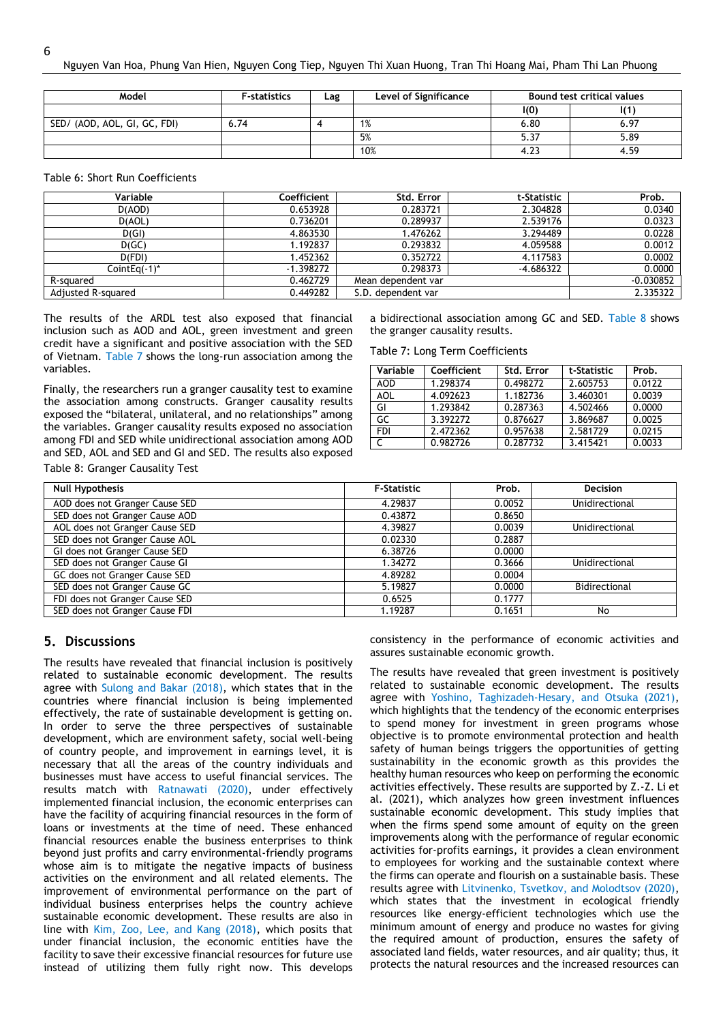| Model                        | <b>F-statistics</b> | Lag | Level of Significance | Bound test critical values |      |
|------------------------------|---------------------|-----|-----------------------|----------------------------|------|
|                              |                     |     |                       | IO)                        |      |
| SED/ (AOD, AOL, GI, GC, FDI) | 6.74                |     | 1%                    | 6.80                       | 6.97 |
|                              |                     |     | 5%                    | 5.37                       | 5.89 |
|                              |                     |     | 10%                   | $4.2^{\circ}$              | 4.59 |

Table 6: Short Run Coefficients

6

| Variable           | Coefficient | Std. Error         | t-Statistic | Prob.       |
|--------------------|-------------|--------------------|-------------|-------------|
| D(AOD)             | 0.653928    | 0.283721           | 2.304828    | 0.0340      |
| D(AOL)             | 0.736201    | 0.289937           | 2.539176    | 0.0323      |
| D(GI)              | 4.863530    | 1.476262           | 3.294489    | 0.0228      |
| D(GC)              | 1.192837    | 0.293832           | 4.059588    | 0.0012      |
| D(FDI)             | 1.452362    | 0.352722           | 4.117583    | 0.0002      |
| CointEg(-1)*       | $-1.398272$ | 0.298373           | $-4.686322$ | 0.0000      |
| R-squared          | 0.462729    | Mean dependent var |             | $-0.030852$ |
| Adjusted R-squared | 0.449282    | S.D. dependent var |             | 2.335322    |

The results of the ARDL test also exposed that financial inclusion such as AOD and AOL, green investment and green credit have a significant and positive association with the SED of Vietnam. Table 7 shows the long-run association among the variables.

Finally, the researchers run a granger causality test to examine the association among constructs. Granger causality results exposed the "bilateral, unilateral, and no relationships" among the variables. Granger causality results exposed no association among FDI and SED while unidirectional association among AOD and SED, AOL and SED and GI and SED. The results also exposed

a bidirectional association among GC and SED. Table 8 shows the granger causality results.

Table 7: Long Term Coefficients

| Variable   | Coefficient | Std. Error | t-Statistic | Prob.  |
|------------|-------------|------------|-------------|--------|
| <b>AOD</b> | 1.298374    | 0.498272   | 2.605753    | 0.0122 |
| AOL        | 4.092623    | 1.182736   | 3.460301    | 0.0039 |
| GI         | 1.293842    | 0.287363   | 4.502466    | 0.0000 |
| GC         | 3.392272    | 0.876627   | 3.869687    | 0.0025 |
| FDI        | 2.472362    | 0.957638   | 2.581729    | 0.0215 |
|            | 0.982726    | 0.287732   | 3.415421    | 0.0033 |

Table 8: Granger Causality Test

| <b>Null Hypothesis</b>         | <b>F-Statistic</b> | Prob.  | <b>Decision</b>      |
|--------------------------------|--------------------|--------|----------------------|
| AOD does not Granger Cause SED | 4.29837            | 0.0052 | Unidirectional       |
| SED does not Granger Cause AOD | 0.43872            | 0.8650 |                      |
| AOL does not Granger Cause SED | 4.39827            | 0.0039 | Unidirectional       |
| SED does not Granger Cause AOL | 0.02330            | 0.2887 |                      |
| GI does not Granger Cause SED  | 6.38726            | 0.0000 |                      |
| SED does not Granger Cause GI  | 1.34272            | 0.3666 | Unidirectional       |
| GC does not Granger Cause SED  | 4.89282            | 0.0004 |                      |
| SED does not Granger Cause GC  | 5.19827            | 0.0000 | <b>Bidirectional</b> |
| FDI does not Granger Cause SED | 0.6525             | 0.1777 |                      |
| SED does not Granger Cause FDI | 1.19287            | 0.1651 | No                   |

#### **5. Discussions**

The results have revealed that financial inclusion is positively related to sustainable economic development. The results agree with Sulong and Bakar (2018), which states that in the countries where financial inclusion is being implemented effectively, the rate of sustainable development is getting on. In order to serve the three perspectives of sustainable development, which are environment safety, social well-being of country people, and improvement in earnings level, it is necessary that all the areas of the country individuals and businesses must have access to useful financial services. The results match with Ratnawati (2020), under effectively implemented financial inclusion, the economic enterprises can have the facility of acquiring financial resources in the form of loans or investments at the time of need. These enhanced financial resources enable the business enterprises to think beyond just profits and carry environmental-friendly programs whose aim is to mitigate the negative impacts of business activities on the environment and all related elements. The improvement of environmental performance on the part of individual business enterprises helps the country achieve sustainable economic development. These results are also in line with Kim, Zoo, Lee, and Kang (2018), which posits that under financial inclusion, the economic entities have the facility to save their excessive financial resources for future use instead of utilizing them fully right now. This develops

consistency in the performance of economic activities and assures sustainable economic growth.

The results have revealed that green investment is positively related to sustainable economic development. The results agree with Yoshino, Taghizadeh-Hesary, and Otsuka (2021), which highlights that the tendency of the economic enterprises to spend money for investment in green programs whose objective is to promote environmental protection and health safety of human beings triggers the opportunities of getting sustainability in the economic growth as this provides the healthy human resources who keep on performing the economic activities effectively. These results are supported by Z.-Z. Li et al. (2021), which analyzes how green investment influences sustainable economic development. This study implies that when the firms spend some amount of equity on the green improvements along with the performance of regular economic activities for-profits earnings, it provides a clean environment to employees for working and the sustainable context where the firms can operate and flourish on a sustainable basis. These results agree with Litvinenko, Tsvetkov, and Molodtsov (2020), which states that the investment in ecological friendly resources like energy-efficient technologies which use the minimum amount of energy and produce no wastes for giving the required amount of production, ensures the safety of associated land fields, water resources, and air quality; thus, it protects the natural resources and the increased resources can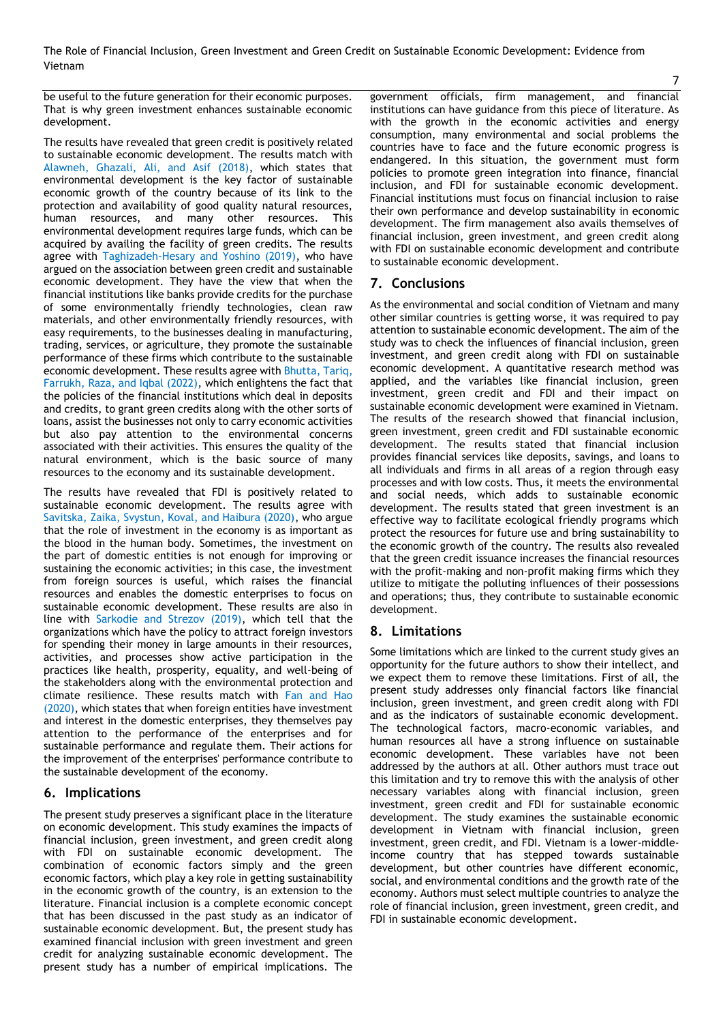The Role of Financial Inclusion, Green Investment and Green Credit on Sustainable Economic Development: Evidence from Vietnam

be useful to the future generation for their economic purposes. That is why green investment enhances sustainable economic development.

The results have revealed that green credit is positively related to sustainable economic development. The results match with Alawneh, Ghazali, Ali, and Asif (2018), which states that environmental development is the key factor of sustainable economic growth of the country because of its link to the protection and availability of good quality natural resources, human resources, and many other resources. This environmental development requires large funds, which can be acquired by availing the facility of green credits. The results agree with Taghizadeh-Hesary and Yoshino (2019), who have argued on the association between green credit and sustainable economic development. They have the view that when the financial institutions like banks provide credits for the purchase of some environmentally friendly technologies, clean raw materials, and other environmentally friendly resources, with easy requirements, to the businesses dealing in manufacturing, trading, services, or agriculture, they promote the sustainable performance of these firms which contribute to the sustainable economic development. These results agree with Bhutta, Tariq, Farrukh, Raza, and Iqbal (2022), which enlightens the fact that the policies of the financial institutions which deal in deposits and credits, to grant green credits along with the other sorts of loans, assist the businesses not only to carry economic activities but also pay attention to the environmental concerns associated with their activities. This ensures the quality of the natural environment, which is the basic source of many resources to the economy and its sustainable development.

The results have revealed that FDI is positively related to sustainable economic development. The results agree with Savitska, Zaika, Svystun, Koval, and Haibura (2020), who argue that the role of investment in the economy is as important as the blood in the human body. Sometimes, the investment on the part of domestic entities is not enough for improving or sustaining the economic activities; in this case, the investment from foreign sources is useful, which raises the financial resources and enables the domestic enterprises to focus on sustainable economic development. These results are also in line with Sarkodie and Strezov (2019), which tell that the organizations which have the policy to attract foreign investors for spending their money in large amounts in their resources, activities, and processes show active participation in the practices like health, prosperity, equality, and well-being of the stakeholders along with the environmental protection and climate resilience. These results match with Fan and Hao (2020), which states that when foreign entities have investment and interest in the domestic enterprises, they themselves pay attention to the performance of the enterprises and for sustainable performance and regulate them. Their actions for the improvement of the enterprises' performance contribute to the sustainable development of the economy.

# **6. Implications**

The present study preserves a significant place in the literature on economic development. This study examines the impacts of financial inclusion, green investment, and green credit along with FDI on sustainable economic development. The combination of economic factors simply and the green economic factors, which play a key role in getting sustainability in the economic growth of the country, is an extension to the literature. Financial inclusion is a complete economic concept that has been discussed in the past study as an indicator of sustainable economic development. But, the present study has examined financial inclusion with green investment and green credit for analyzing sustainable economic development. The present study has a number of empirical implications. The

government officials, firm management, and financial institutions can have guidance from this piece of literature. As with the growth in the economic activities and energy consumption, many environmental and social problems the countries have to face and the future economic progress is endangered. In this situation, the government must form policies to promote green integration into finance, financial inclusion, and FDI for sustainable economic development. Financial institutions must focus on financial inclusion to raise their own performance and develop sustainability in economic development. The firm management also avails themselves of financial inclusion, green investment, and green credit along with FDI on sustainable economic development and contribute to sustainable economic development.

# **7. Conclusions**

As the environmental and social condition of Vietnam and many other similar countries is getting worse, it was required to pay attention to sustainable economic development. The aim of the study was to check the influences of financial inclusion, green investment, and green credit along with FDI on sustainable economic development. A quantitative research method was applied, and the variables like financial inclusion, green investment, green credit and FDI and their impact on sustainable economic development were examined in Vietnam. The results of the research showed that financial inclusion, green investment, green credit and FDI sustainable economic development. The results stated that financial inclusion provides financial services like deposits, savings, and loans to all individuals and firms in all areas of a region through easy processes and with low costs. Thus, it meets the environmental and social needs, which adds to sustainable economic development. The results stated that green investment is an effective way to facilitate ecological friendly programs which protect the resources for future use and bring sustainability to the economic growth of the country. The results also revealed that the green credit issuance increases the financial resources with the profit-making and non-profit making firms which they utilize to mitigate the polluting influences of their possessions and operations; thus, they contribute to sustainable economic development.

# **8. Limitations**

Some limitations which are linked to the current study gives an opportunity for the future authors to show their intellect, and we expect them to remove these limitations. First of all, the present study addresses only financial factors like financial inclusion, green investment, and green credit along with FDI and as the indicators of sustainable economic development. The technological factors, macro-economic variables, and human resources all have a strong influence on sustainable economic development. These variables have not been addressed by the authors at all. Other authors must trace out this limitation and try to remove this with the analysis of other necessary variables along with financial inclusion, green investment, green credit and FDI for sustainable economic development. The study examines the sustainable economic development in Vietnam with financial inclusion, green investment, green credit, and FDI. Vietnam is a lower-middleincome country that has stepped towards sustainable development, but other countries have different economic, social, and environmental conditions and the growth rate of the economy. Authors must select multiple countries to analyze the role of financial inclusion, green investment, green credit, and FDI in sustainable economic development.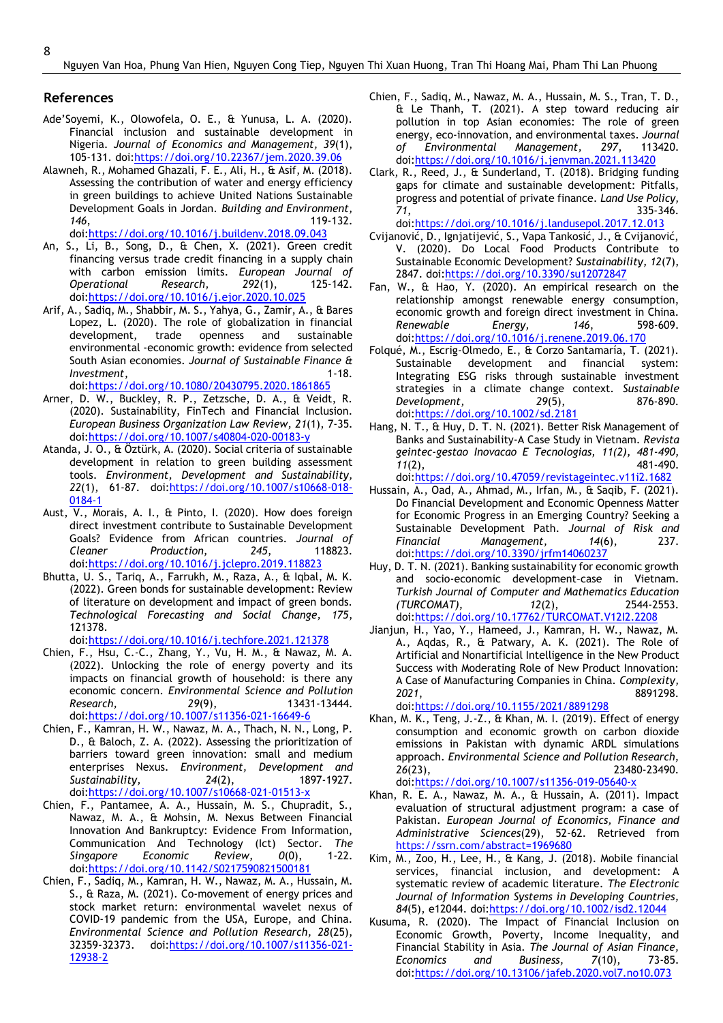#### **References**

- Ade'Soyemi, K., Olowofela, O. E., & Yunusa, L. A. (2020). Financial inclusion and sustainable development in Nigeria. *Journal of Economics and Management, 39*(1), 105-131. doi[:https://doi.org/10.22367/jem.2020.39.06](https://doi.org/10.22367/jem.2020.39.06)
- Alawneh, R., Mohamed Ghazali, F. E., Ali, H., & Asif, M. (2018). Assessing the contribution of water and energy efficiency in green buildings to achieve United Nations Sustainable Development Goals in Jordan. *Building and Environment, 146*, 119-132. doi[:https://doi.org/10.1016/j.buildenv.2018.09.043](https://doi.org/10.1016/j.buildenv.2018.09.043)
- An, S., Li, B., Song, D., & Chen, X. (2021). Green credit financing versus trade credit financing in a supply chain with carbon emission limits. *European Journal of Operational* Research, 292(1), doi[:https://doi.org/10.1016/j.ejor.2020.10.025](https://doi.org/10.1016/j.ejor.2020.10.025)
- Arif, A., Sadiq, M., Shabbir, M. S., Yahya, G., Zamir, A., & Bares Lopez, L. (2020). The role of globalization in financial development, trade openness and sustainable environmental -economic growth: evidence from selected South Asian economies. *Journal of Sustainable Finance & Investment*. 1-18. doi[:https://doi.org/10.1080/20430795.2020.1861865](https://doi.org/10.1080/20430795.2020.1861865)
- Arner, D. W., Buckley, R. P., Zetzsche, D. A., & Veidt, R. (2020). Sustainability, FinTech and Financial Inclusion. *European Business Organization Law Review, 21*(1), 7-35. doi[:https://doi.org/10.1007/s40804-020-00183-y](https://doi.org/10.1007/s40804-020-00183-y)
- Atanda, J. O., & Öztürk, A. (2020). Social criteria of sustainable development in relation to green building assessment tools. *Environment, Development and Sustainability, 22*(1), 61-87. doi[:https://doi.org/10.1007/s10668-018-](https://doi.org/10.1007/s10668-018-0184-1) [0184-1](https://doi.org/10.1007/s10668-018-0184-1)
- Aust, V., Morais, A. I., & Pinto, I. (2020). How does foreign direct investment contribute to Sustainable Development Goals? Evidence from African countries. *Journal of Cleaner Production, 245*, 118823. doi[:https://doi.org/10.1016/j.jclepro.2019.118823](https://doi.org/10.1016/j.jclepro.2019.118823)
- Bhutta, U. S., Tariq, A., Farrukh, M., Raza, A., & Iqbal, M. K. (2022). Green bonds for sustainable development: Review of literature on development and impact of green bonds. *Technological Forecasting and Social Change, 175*, 121378.

doi[:https://doi.org/10.1016/j.techfore.2021.121378](https://doi.org/10.1016/j.techfore.2021.121378)

- Chien, F., Hsu, C.-C., Zhang, Y., Vu, H. M., & Nawaz, M. A. (2022). Unlocking the role of energy poverty and its impacts on financial growth of household: is there any economic concern. *Environmental Science and Pollution Research, 29*(9), 13431-13444. doi[:https://doi.org/10.1007/s11356-021-16649-6](https://doi.org/10.1007/s11356-021-16649-6)
- Chien, F., Kamran, H. W., Nawaz, M. A., Thach, N. N., Long, P. D., & Baloch, Z. A. (2022). Assessing the prioritization of barriers toward green innovation: small and medium enterprises Nexus. *Environment, Development and Sustainability, 24*(2), 1897-1927. doi[:https://doi.org/10.1007/s10668-021-01513-x](https://doi.org/10.1007/s10668-021-01513-x)
- Chien, F., Pantamee, A. A., Hussain, M. S., Chupradit, S., Nawaz, M. A., & Mohsin, M. Nexus Between Financial Innovation And Bankruptcy: Evidence From Information, Communication And Technology (Ict) Sector. *The Singapore Economic Review, 0*(0), 1-22. doi[:https://doi.org/10.1142/S0217590821500181](https://doi.org/10.1142/S0217590821500181)
- Chien, F., Sadiq, M., Kamran, H. W., Nawaz, M. A., Hussain, M. S., & Raza, M. (2021). Co-movement of energy prices and stock market return: environmental wavelet nexus of COVID-19 pandemic from the USA, Europe, and China. *Environmental Science and Pollution Research, 28*(25), 32359-32373. doi[:https://doi.org/10.1007/s11356-021-](https://doi.org/10.1007/s11356-021-12938-2) [12938-2](https://doi.org/10.1007/s11356-021-12938-2)
- Chien, F., Sadiq, M., Nawaz, M. A., Hussain, M. S., Tran, T. D., & Le Thanh, T. (2021). A step toward reducing air pollution in top Asian economies: The role of green energy, eco-innovation, and environmental taxes. *Journal of Environmental Management, 297*, 113420. doi[:https://doi.org/10.1016/j.jenvman.2021.113420](https://doi.org/10.1016/j.jenvman.2021.113420)
- Clark, R., Reed, J., & Sunderland, T. (2018). Bridging funding gaps for climate and sustainable development: Pitfalls, progress and potential of private finance. *Land Use Policy, 71*, 335-346. doi[:https://doi.org/10.1016/j.landusepol.2017.12.013](https://doi.org/10.1016/j.landusepol.2017.12.013)

Cvijanović, D., Ignjatijević, S., Vapa Tankosić, J., & Cvijanović, V. (2020). Do Local Food Products Contribute to Sustainable Economic Development? *Sustainability, 12*(7), 2847. doi[:https://doi.org/10.3390/su12072847](https://doi.org/10.3390/su12072847)

- Fan, W., & Hao, Y. (2020). An empirical research on the relationship amongst renewable energy consumption, economic growth and foreign direct investment in China. *Renewable Energy, 146*, 598-609. doi[:https://doi.org/10.1016/j.renene.2019.06.170](https://doi.org/10.1016/j.renene.2019.06.170)
- Folqué, M., Escrig-Olmedo, E., & Corzo Santamaría, T. (2021). Sustainable development and financial system: Integrating ESG risks through sustainable investment strategies in a climate change context. *Sustainable Development, 29*(5), 876-890. doi[:https://doi.org/10.1002/sd.2181](https://doi.org/10.1002/sd.2181)
- Hang, N. T., & Huy, D. T. N. (2021). Better Risk Management of Banks and Sustainability-A Case Study in Vietnam. *Revista geintec-gestao Inovacao E Tecnologias, 11(2), 481-490, 11*(2), 481-490. doi[:https://doi.org/10.47059/revistageintec.v11i2.1682](https://doi.org/10.47059/revistageintec.v11i2.1682)
- Hussain, A., Oad, A., Ahmad, M., Irfan, M., & Saqib, F. (2021). Do Financial Development and Economic Openness Matter for Economic Progress in an Emerging Country? Seeking a Sustainable Development Path. *Journal of Risk and Financial Management, 14*(6), 237. doi[:https://doi.org/10.3390/jrfm14060237](https://doi.org/10.3390/jrfm14060237)
- Huy, D. T. N. (2021). Banking sustainability for economic growth and socio-economic development–case in Vietnam. *Turkish Journal of Computer and Mathematics Education (TURCOMAT), 12*(2), 2544-2553. doi[:https://doi.org/10.17762/TURCOMAT.V12I2.2208](https://doi.org/10.17762/TURCOMAT.V12I2.2208)
- Jianjun, H., Yao, Y., Hameed, J., Kamran, H. W., Nawaz, M. A., Aqdas, R., & Patwary, A. K. (2021). The Role of Artificial and Nonartificial Intelligence in the New Product Success with Moderating Role of New Product Innovation: A Case of Manufacturing Companies in China. *Complexity, 2021*, 8891298. doi[:https://doi.org/10.1155/2021/8891298](https://doi.org/10.1155/2021/8891298)
- Khan, M. K., Teng, J.-Z., & Khan, M. I. (2019). Effect of energy consumption and economic growth on carbon dioxide emissions in Pakistan with dynamic ARDL simulations approach. *Environmental Science and Pollution Research, 26*(23), 23480-23490.

doi[:https://doi.org/10.1007/s11356-019-05640-x](https://doi.org/10.1007/s11356-019-05640-x)

- Khan, R. E. A., Nawaz, M. A., & Hussain, A. (2011). Impact evaluation of structural adjustment program: a case of Pakistan. *European Journal of Economics, Finance and Administrative Sciences*(29), 52-62. Retrieved from <https://ssrn.com/abstract=1969680>
- Kim, M., Zoo, H., Lee, H., & Kang, J. (2018). Mobile financial services, financial inclusion, and development: A systematic review of academic literature. *The Electronic Journal of Information Systems in Developing Countries, 84*(5), e12044. doi[:https://doi.org/10.1002/isd2.12044](https://doi.org/10.1002/isd2.12044)
- Kusuma, R. (2020). The Impact of Financial Inclusion on Economic Growth, Poverty, Income Inequality, and Financial Stability in Asia. *The Journal of Asian Finance, Economics and Business, 7*(10), 73-85. doi[:https://doi.org/10.13106/jafeb.2020.vol7.no10.073](https://doi.org/10.13106/jafeb.2020.vol7.no10.073)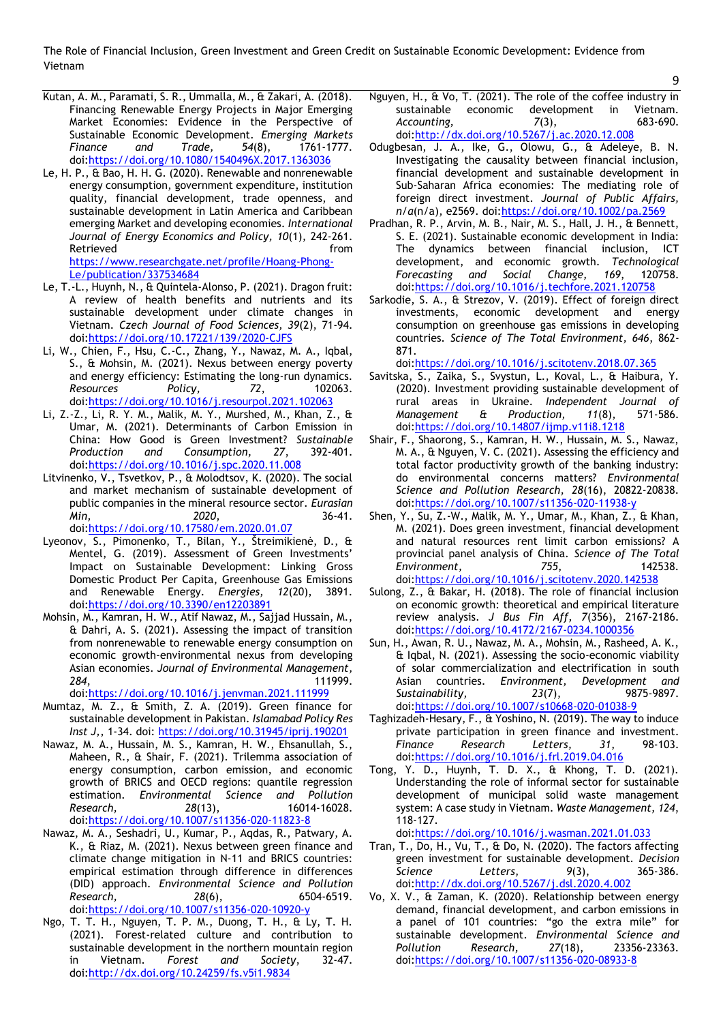The Role of Financial Inclusion, Green Investment and Green Credit on Sustainable Economic Development: Evidence from Vietnam

- Kutan, A. M., Paramati, S. R., Ummalla, M., & Zakari, A. (2018). Financing Renewable Energy Projects in Major Emerging Market Economies: Evidence in the Perspective of Sustainable Economic Development. *Emerging Markets Finance and Trade, 54*(8), 1761-1777. doi[:https://doi.org/10.1080/1540496X.2017.1363036](https://doi.org/10.1080/1540496X.2017.1363036)
- Le, H. P., & Bao, H. H. G. (2020). Renewable and nonrenewable energy consumption, government expenditure, institution quality, financial development, trade openness, and sustainable development in Latin America and Caribbean emerging Market and developing economies. *International Journal of Energy Economics and Policy, 10*(1), 242-261. Retrieved **from** [https://www.researchgate.net/profile/Hoang-Phong-](https://www.researchgate.net/profile/Hoang-Phong-Le/publication/337534684)

[Le/publication/337534684](https://www.researchgate.net/profile/Hoang-Phong-Le/publication/337534684)

- Le, T.-L., Huynh, N., & Quintela-Alonso, P. (2021). Dragon fruit: A review of health benefits and nutrients and its sustainable development under climate changes in Vietnam. *Czech Journal of Food Sciences, 39*(2), 71-94. doi[:https://doi.org/10.17221/139/2020-CJFS](https://doi.org/10.17221/139/2020-CJFS)
- Li, W., Chien, F., Hsu, C.-C., Zhang, Y., Nawaz, M. A., Iqbal, S., & Mohsin, M. (2021). Nexus between energy poverty and energy efficiency: Estimating the long-run dynamics.<br>Resources Policy, 72, 102063. *Resources Policy, 72*, 102063. doi[:https://doi.org/10.1016/j.resourpol.2021.102063](https://doi.org/10.1016/j.resourpol.2021.102063)
- Li, Z.-Z., Li, R. Y. M., Malik, M. Y., Murshed, M., Khan, Z., & Umar, M. (2021). Determinants of Carbon Emission in China: How Good is Green Investment? *Sustainable Production and Consumption, 27*, 392-401. doi[:https://doi.org/10.1016/j.spc.2020.11.008](https://doi.org/10.1016/j.spc.2020.11.008)
- Litvinenko, V., Tsvetkov, P., & Molodtsov, K. (2020). The social and market mechanism of sustainable development of public companies in the mineral resource sector. *Eurasian Min, 2020*, 36-41. doi[:https://doi.org/10.17580/em.2020.01.07](https://doi.org/10.17580/em.2020.01.07)
- Lyeonov, S., Pimonenko, T., Bilan, Y., Štreimikienė, D., & Mentel, G. (2019). Assessment of Green Investments' Impact on Sustainable Development: Linking Gross Domestic Product Per Capita, Greenhouse Gas Emissions and Renewable Energy. *Energies, 12*(20), 3891. doi[:https://doi.org/10.3390/en12203891](https://doi.org/10.3390/en12203891)
- Mohsin, M., Kamran, H. W., Atif Nawaz, M., Sajjad Hussain, M., & Dahri, A. S. (2021). Assessing the impact of transition from nonrenewable to renewable energy consumption on economic growth-environmental nexus from developing Asian economies. *Journal of Environmental Management, 284*, 111999.

doi[:https://doi.org/10.1016/j.jenvman.2021.111999](https://doi.org/10.1016/j.jenvman.2021.111999)

- Mumtaz, M. Z., & Smith, Z. A. (2019). Green finance for sustainable development in Pakistan. *Islamabad Policy Res Inst J,*, 1-34. doi:<https://doi.org/10.31945/iprij.190201>
- Nawaz, M. A., Hussain, M. S., Kamran, H. W., Ehsanullah, S., Maheen, R., & Shair, F. (2021). Trilemma association of energy consumption, carbon emission, and economic growth of BRICS and OECD regions: quantile regression estimation. *Environmental Science and Pollution Research, 28*(13), 16014-16028. doi[:https://doi.org/10.1007/s11356-020-11823-8](https://doi.org/10.1007/s11356-020-11823-8)
- Nawaz, M. A., Seshadri, U., Kumar, P., Aqdas, R., Patwary, A. K., & Riaz, M. (2021). Nexus between green finance and climate change mitigation in N-11 and BRICS countries: empirical estimation through difference in differences (DID) approach. *Environmental Science and Pollution Research, 28*(6), 6504-6519. doi[:https://doi.org/10.1007/s11356-020-10920-y](https://doi.org/10.1007/s11356-020-10920-y)
- Ngo, T. T. H., Nguyen, T. P. M., Duong, T. H., & Ly, T. H. (2021). Forest-related culture and contribution to sustainable development in the northern mountain region in Vietnam. *Forest and Society*, 32-47. doi[:http://dx.doi.org/10.24259/fs.v5i1.9834](http://dx.doi.org/10.24259/fs.v5i1.9834)
- Nguyen, H., & Vo, T. (2021). The role of the coffee industry in sustainable economic development in Vietnam. *Accounting, 7*(3), 683-690. doi[:http://dx.doi.org/10.5267/j.ac.2020.12.008](http://dx.doi.org/10.5267/j.ac.2020.12.008)
- Odugbesan, J. A., Ike, G., Olowu, G., & Adeleye, B. N. Investigating the causality between financial inclusion, financial development and sustainable development in Sub-Saharan Africa economies: The mediating role of foreign direct investment. *Journal of Public Affairs, n/a*(n/a), e2569. doi[:https://doi.org/10.1002/pa.2569](https://doi.org/10.1002/pa.2569)
- Pradhan, R. P., Arvin, M. B., Nair, M. S., Hall, J. H., & Bennett, S. E. (2021). Sustainable economic development in India: The dynamics between financial inclusion, ICT development, and economic growth. *Technological Forecasting and Social Change, 169*, 120758. doi[:https://doi.org/10.1016/j.techfore.2021.120758](https://doi.org/10.1016/j.techfore.2021.120758)
- Sarkodie, S. A., & Strezov, V. (2019). Effect of foreign direct investments, economic development and energy consumption on greenhouse gas emissions in developing countries. *Science of The Total Environment, 646*, 862- 871.

doi[:https://doi.org/10.1016/j.scitotenv.2018.07.365](https://doi.org/10.1016/j.scitotenv.2018.07.365)

- Savitska, S., Zaika, S., Svystun, L., Koval, L., & Haibura, Y. (2020). Investment providing sustainable development of rural areas in Ukraine. *Independent Journal of Management & Production, 11*(8), 571-586. doi[:https://doi.org/10.14807/ijmp.v11i8.1218](https://doi.org/10.14807/ijmp.v11i8.1218)
- Shair, F., Shaorong, S., Kamran, H. W., Hussain, M. S., Nawaz, M. A., & Nguyen, V. C. (2021). Assessing the efficiency and total factor productivity growth of the banking industry: do environmental concerns matters? *Environmental Science and Pollution Research, 28*(16), 20822-20838. doi[:https://doi.org/10.1007/s11356-020-11938-y](https://doi.org/10.1007/s11356-020-11938-y)
- Shen, Y., Su, Z.-W., Malik, M. Y., Umar, M., Khan, Z., & Khan, M. (2021). Does green investment, financial development and natural resources rent limit carbon emissions? A provincial panel analysis of China. *Science of The Total Environment, 755*, 142538. doi[:https://doi.org/10.1016/j.scitotenv.2020.142538](https://doi.org/10.1016/j.scitotenv.2020.142538)
- Sulong, Z., & Bakar, H. (2018). The role of financial inclusion on economic growth: theoretical and empirical literature review analysis. *J Bus Fin Aff, 7*(356), 2167-2186. doi[:https://doi.org/10.4172/2167-0234.1000356](https://doi.org/10.4172/2167-0234.1000356)
- Sun, H., Awan, R. U., Nawaz, M. A., Mohsin, M., Rasheed, A. K., & Iqbal, N. (2021). Assessing the socio-economic viability of solar commercialization and electrification in south Asian countries. *Environment, Development and Sustainability, 23*(7), 9875-9897. doi[:https://doi.org/10.1007/s10668-020-01038-9](https://doi.org/10.1007/s10668-020-01038-9)
- Taghizadeh-Hesary, F., & Yoshino, N. (2019). The way to induce private participation in green finance and investment. *Finance Research Letters, 31*, 98-103. doi[:https://doi.org/10.1016/j.frl.2019.04.016](https://doi.org/10.1016/j.frl.2019.04.016)
- Tong, Y. D., Huynh, T. D. X., & Khong, T. D. (2021). Understanding the role of informal sector for sustainable development of municipal solid waste management system: A case study in Vietnam. *Waste Management, 124*, 118-127.

doi[:https://doi.org/10.1016/j.wasman.2021.01.033](https://doi.org/10.1016/j.wasman.2021.01.033)

- Tran, T., Do, H., Vu, T., & Do, N. (2020). The factors affecting green investment for sustainable development. *Decision Science Letters, 9*(3), 365-386. doi[:http://dx.doi.org/10.5267/j.dsl.2020.4.002](http://dx.doi.org/10.5267/j.dsl.2020.4.002)
- Vo, X. V., & Zaman, K. (2020). Relationship between energy demand, financial development, and carbon emissions in a panel of 101 countries: "go the extra mile" for sustainable development. *Environmental Science and Pollution Research, 27*(18), 23356-23363. doi[:https://doi.org/10.1007/s11356-020-08933-8](https://doi.org/10.1007/s11356-020-08933-8)